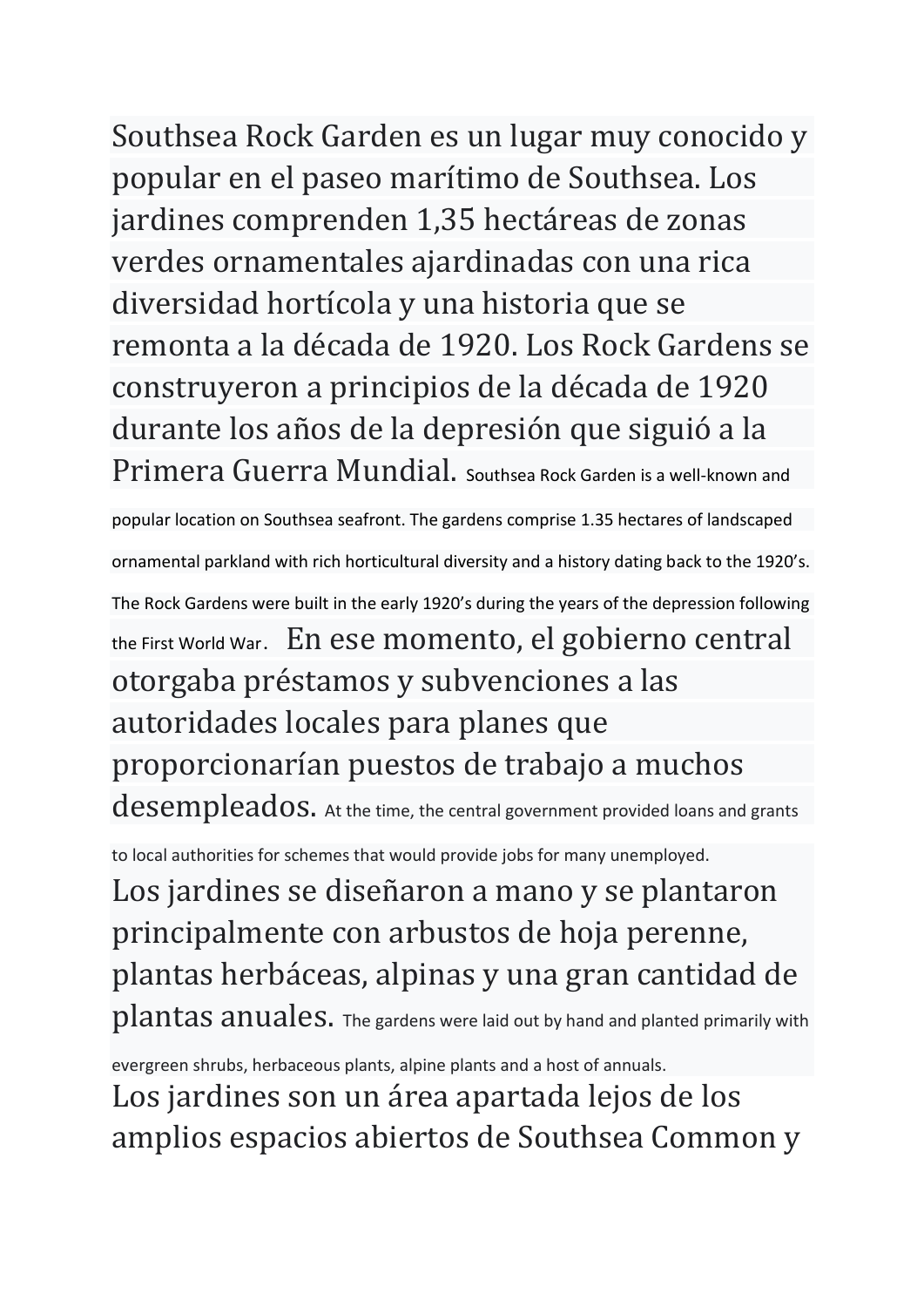Southsea Rock Garden es un lugar muy conocido y popular en el paseo marítimo de Southsea. Los jardines comprenden 1,35 hectáreas de zonas verdes ornamentales ajardinadas con una rica diversidad hortícola y una historia que se remonta a la década de 1920. Los Rock Gardens se construyeron a principios de la década de 1920 durante los años de la depresión que siguió a la Primera Guerra Mundial. Southsea Rock Garden is a well-known and

popular location on Southsea seafront. The gardens comprise 1.35 hectares of landscaped ornamental parkland with rich horticultural diversity and a history dating back to the 1920's. The Rock Gardens were built in the early 1920's during the years of the depression following the First World War. En ese momento, el gobierno central otorgaba préstamos y subvenciones a las autoridades locales para planes que proporcionarían puestos de trabajo a muchos desempleados. At the time, the central government provided loans and grants

to local authorities for schemes that would provide jobs for many unemployed.

Los jardines se diseñaron a mano y se plantaron principalmente con arbustos de hoja perenne, plantas herbáceas, alpinas y una gran cantidad de plantas anuales. The gardens were laid out by hand and planted primarily with

evergreen shrubs, herbaceous plants, alpine plants and a host of annuals.

Los jardines son un área apartada lejos de los amplios espacios abiertos de Southsea Common y